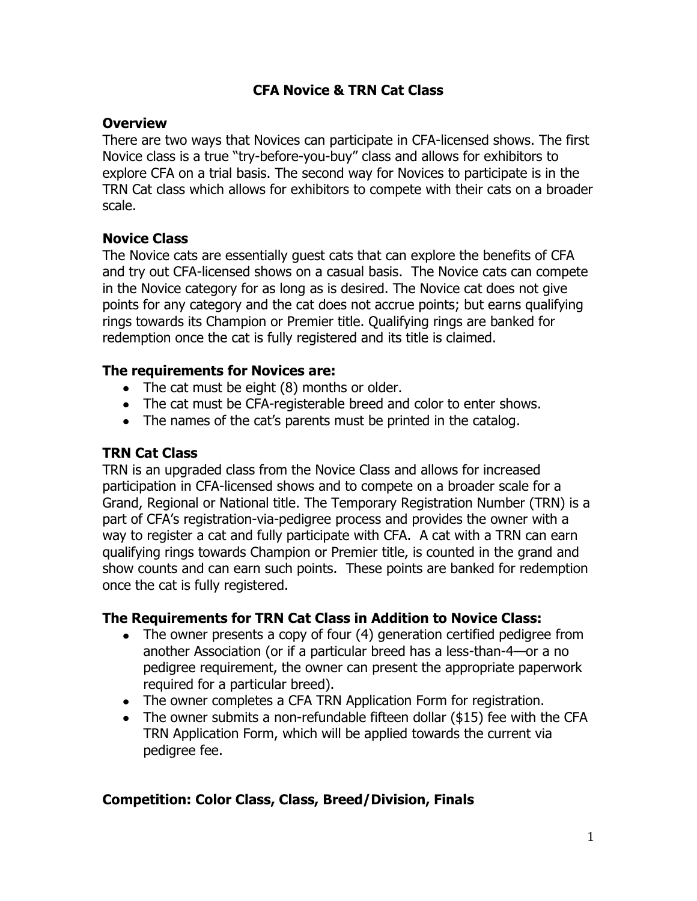# **CFA Novice & TRN Cat Class**

#### **Overview**

There are two ways that Novices can participate in CFA-licensed shows. The first Novice class is a true "try-before-you-buy" class and allows for exhibitors to explore CFA on a trial basis. The second way for Novices to participate is in the TRN Cat class which allows for exhibitors to compete with their cats on a broader scale.

## **Novice Class**

The Novice cats are essentially guest cats that can explore the benefits of CFA and try out CFA-licensed shows on a casual basis. The Novice cats can compete in the Novice category for as long as is desired. The Novice cat does not give points for any category and the cat does not accrue points; but earns qualifying rings towards its Champion or Premier title. Qualifying rings are banked for redemption once the cat is fully registered and its title is claimed.

## **The requirements for Novices are:**

- The cat must be eight (8) months or older.
- The cat must be CFA-registerable breed and color to enter shows.
- The names of the cat's parents must be printed in the catalog.

#### **TRN Cat Class**

TRN is an upgraded class from the Novice Class and allows for increased participation in CFA-licensed shows and to compete on a broader scale for a Grand, Regional or National title. The Temporary Registration Number (TRN) is a part of CFA's registration-via-pedigree process and provides the owner with a way to register a cat and fully participate with CFA. A cat with a TRN can earn qualifying rings towards Champion or Premier title, is counted in the grand and show counts and can earn such points. These points are banked for redemption once the cat is fully registered.

## **The Requirements for TRN Cat Class in Addition to Novice Class:**

- The owner presents a copy of four (4) generation certified pedigree from another Association (or if a particular breed has a less-than-4—or a no pedigree requirement, the owner can present the appropriate paperwork required for a particular breed).
- The owner completes a CFA TRN Application Form for registration.
- The owner submits a non-refundable fifteen dollar (\$15) fee with the CFA TRN Application Form, which will be applied towards the current via pedigree fee.

## **Competition: Color Class, Class, Breed/Division, Finals**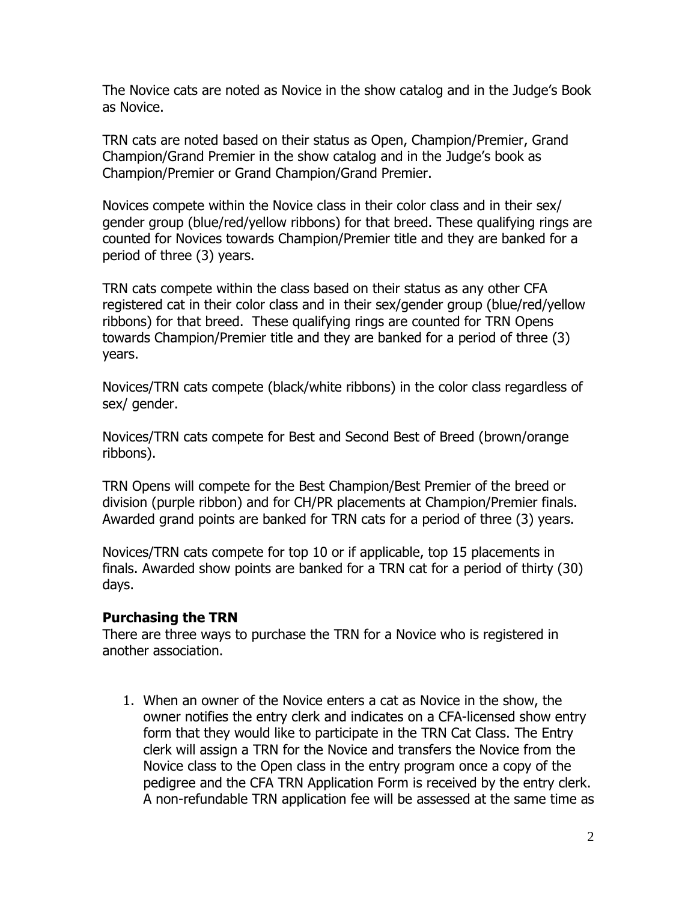The Novice cats are noted as Novice in the show catalog and in the Judge's Book as Novice.

TRN cats are noted based on their status as Open, Champion/Premier, Grand Champion/Grand Premier in the show catalog and in the Judge's book as Champion/Premier or Grand Champion/Grand Premier.

Novices compete within the Novice class in their color class and in their sex/ gender group (blue/red/yellow ribbons) for that breed. These qualifying rings are counted for Novices towards Champion/Premier title and they are banked for a period of three (3) years.

TRN cats compete within the class based on their status as any other CFA registered cat in their color class and in their sex/gender group (blue/red/yellow ribbons) for that breed. These qualifying rings are counted for TRN Opens towards Champion/Premier title and they are banked for a period of three (3) years.

Novices/TRN cats compete (black/white ribbons) in the color class regardless of sex/ gender.

Novices/TRN cats compete for Best and Second Best of Breed (brown/orange ribbons).

TRN Opens will compete for the Best Champion/Best Premier of the breed or division (purple ribbon) and for CH/PR placements at Champion/Premier finals. Awarded grand points are banked for TRN cats for a period of three (3) years.

Novices/TRN cats compete for top 10 or if applicable, top 15 placements in finals. Awarded show points are banked for a TRN cat for a period of thirty (30) days.

#### **Purchasing the TRN**

There are three ways to purchase the TRN for a Novice who is registered in another association.

1. When an owner of the Novice enters a cat as Novice in the show, the owner notifies the entry clerk and indicates on a CFA-licensed show entry form that they would like to participate in the TRN Cat Class. The Entry clerk will assign a TRN for the Novice and transfers the Novice from the Novice class to the Open class in the entry program once a copy of the pedigree and the CFA TRN Application Form is received by the entry clerk. A non-refundable TRN application fee will be assessed at the same time as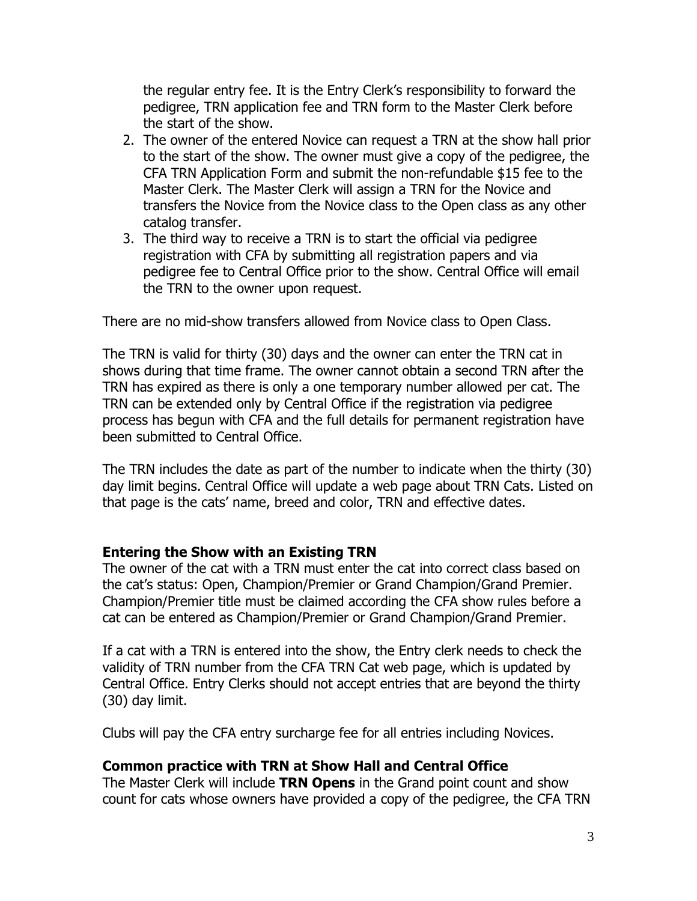the regular entry fee. It is the Entry Clerk's responsibility to forward the pedigree, TRN application fee and TRN form to the Master Clerk before the start of the show.

- 2. The owner of the entered Novice can request a TRN at the show hall prior to the start of the show. The owner must give a copy of the pedigree, the CFA TRN Application Form and submit the non-refundable \$15 fee to the Master Clerk. The Master Clerk will assign a TRN for the Novice and transfers the Novice from the Novice class to the Open class as any other catalog transfer.
- 3. The third way to receive a TRN is to start the official via pedigree registration with CFA by submitting all registration papers and via pedigree fee to Central Office prior to the show. Central Office will email the TRN to the owner upon request.

There are no mid-show transfers allowed from Novice class to Open Class.

The TRN is valid for thirty (30) days and the owner can enter the TRN cat in shows during that time frame. The owner cannot obtain a second TRN after the TRN has expired as there is only a one temporary number allowed per cat. The TRN can be extended only by Central Office if the registration via pedigree process has begun with CFA and the full details for permanent registration have been submitted to Central Office.

The TRN includes the date as part of the number to indicate when the thirty (30) day limit begins. Central Office will update a web page about TRN Cats. Listed on that page is the cats' name, breed and color, TRN and effective dates.

## **Entering the Show with an Existing TRN**

The owner of the cat with a TRN must enter the cat into correct class based on the cat's status: Open, Champion/Premier or Grand Champion/Grand Premier. Champion/Premier title must be claimed according the CFA show rules before a cat can be entered as Champion/Premier or Grand Champion/Grand Premier.

If a cat with a TRN is entered into the show, the Entry clerk needs to check the validity of TRN number from the CFA TRN Cat web page, which is updated by Central Office. Entry Clerks should not accept entries that are beyond the thirty (30) day limit.

Clubs will pay the CFA entry surcharge fee for all entries including Novices.

## **Common practice with TRN at Show Hall and Central Office**

The Master Clerk will include **TRN Opens** in the Grand point count and show count for cats whose owners have provided a copy of the pedigree, the CFA TRN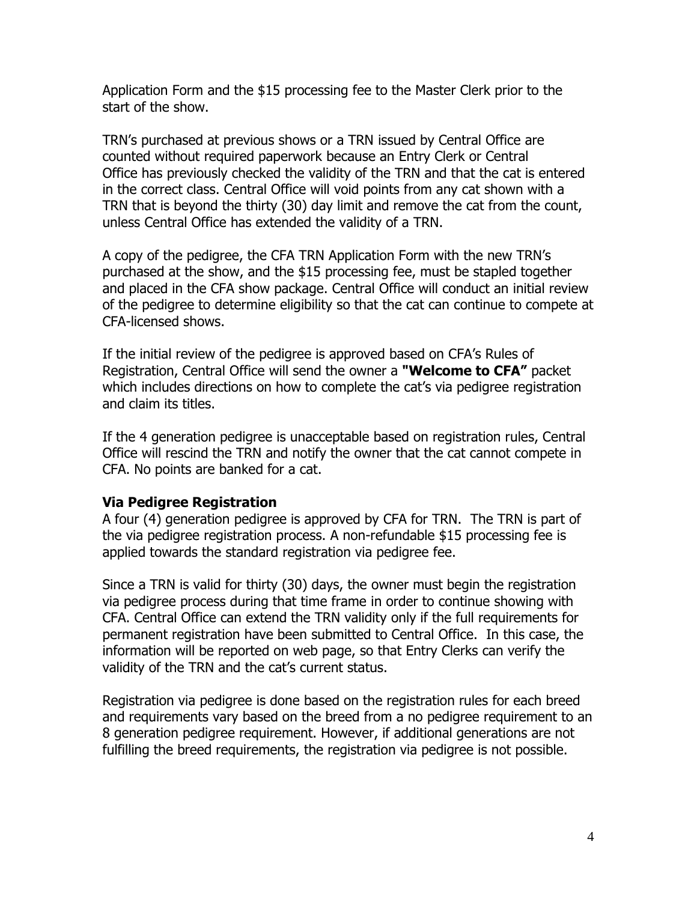Application Form and the \$15 processing fee to the Master Clerk prior to the start of the show.

TRN's purchased at previous shows or a TRN issued by Central Office are counted without required paperwork because an Entry Clerk or Central Office has previously checked the validity of the TRN and that the cat is entered in the correct class. Central Office will void points from any cat shown with a TRN that is beyond the thirty (30) day limit and remove the cat from the count, unless Central Office has extended the validity of a TRN.

A copy of the pedigree, the CFA TRN Application Form with the new TRN's purchased at the show, and the \$15 processing fee, must be stapled together and placed in the CFA show package. Central Office will conduct an initial review of the pedigree to determine eligibility so that the cat can continue to compete at CFA-licensed shows.

If the initial review of the pedigree is approved based on CFA's Rules of Registration, Central Office will send the owner a **"Welcome to CFA"** packet which includes directions on how to complete the cat's via pedigree registration and claim its titles.

If the 4 generation pedigree is unacceptable based on registration rules, Central Office will rescind the TRN and notify the owner that the cat cannot compete in CFA. No points are banked for a cat.

## **Via Pedigree Registration**

A four (4) generation pedigree is approved by CFA for TRN. The TRN is part of the via pedigree registration process. A non-refundable \$15 processing fee is applied towards the standard registration via pedigree fee.

Since a TRN is valid for thirty (30) days, the owner must begin the registration via pedigree process during that time frame in order to continue showing with CFA. Central Office can extend the TRN validity only if the full requirements for permanent registration have been submitted to Central Office. In this case, the information will be reported on web page, so that Entry Clerks can verify the validity of the TRN and the cat's current status.

Registration via pedigree is done based on the registration rules for each breed and requirements vary based on the breed from a no pedigree requirement to an 8 generation pedigree requirement. However, if additional generations are not fulfilling the breed requirements, the registration via pedigree is not possible.